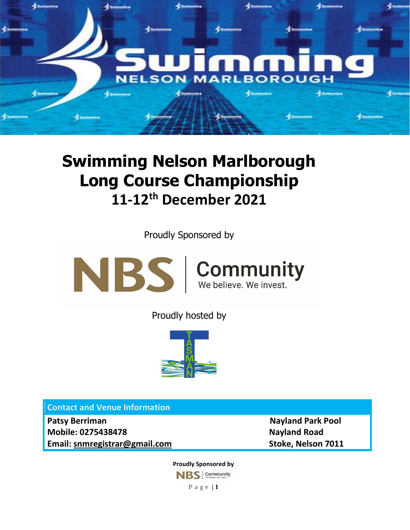

## **Swimming Nelson Marlborough Long Course Championship 11-12th December 2021**

Proudly Sponsored by



Proudly hosted by



**Contact and Venue Information** 

**Patsy Berriman Nayland Park Pool in the UP of the UP of the UP of the UP of the UP of the UP of the UP of the UP of the UP of the UP of the UP of the UP of the UP of the UP of the UP of the UP of the UP of the UP of the U Mobile: 0275438478 Nayland Road Email: [snmregistrar@gmail.com](mailto:snmregistrar@gmail.com) Stoke, Nelson 7011**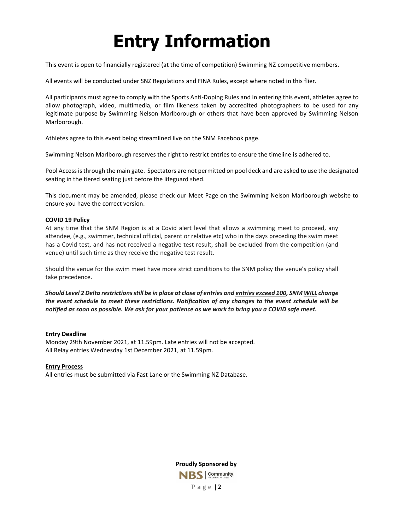# **Entry Information**

This event is open to financially registered (at the time of competition) Swimming NZ competitive members.

All events will be conducted under SNZ Regulations and FINA Rules, except where noted in this flier.

All participants must agree to comply with the Sports Anti-Doping Rules and in entering this event, athletes agree to allow photograph, video, multimedia, or film likeness taken by accredited photographers to be used for any legitimate purpose by Swimming Nelson Marlborough or others that have been approved by Swimming Nelson Marlborough.

Athletes agree to this event being streamlined live on the SNM Facebook page.

Swimming Nelson Marlborough reserves the right to restrict entries to ensure the timeline is adhered to.

Pool Access is through the main gate. Spectators are not permitted on pool deck and are asked to use the designated seating in the tiered seating just before the lifeguard shed.

This document may be amended, please check our Meet Page on the Swimming Nelson Marlborough website to ensure you have the correct version.

#### **COVID 19 Policy**

At any time that the SNM Region is at a Covid alert level that allows a swimming meet to proceed, any attendee, (e.g., swimmer, technical official, parent or relative etc) who in the days preceding the swim meet has a Covid test, and has not received a negative test result, shall be excluded from the competition (and venue) until such time as they receive the negative test result.

Should the venue for the swim meet have more strict conditions to the SNM policy the venue's policy shall take precedence.

*Should Level 2 Delta restrictions still be in place at close of entries and entries exceed 100, SNM WILL change the event schedule to meet these restrictions. Notification of any changes to the event schedule will be notified as soon as possible. We ask for your patience as we work to bring you a COVID safe meet.*

#### **Entry Deadline**

Monday 29th November 2021, at 11.59pm. Late entries will not be accepted. All Relay entries Wednesday 1st December 2021, at 11.59pm.

#### **Entry Process**

All entries must be submitted via Fast Lane or the Swimming NZ Database.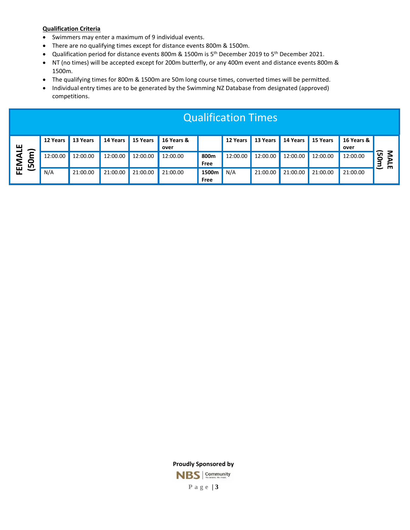#### **Qualification Criteria**

- Swimmers may enter a maximum of 9 individual events.
- There are no qualifying times except for distance events 800m & 1500m.
- Qualification period for distance events 800m & 1500m is 5<sup>th</sup> December 2019 to 5<sup>th</sup> December 2021.
- NT (no times) will be accepted except for 200m butterfly, or any 400m event and distance events 800m & 1500m.
- The qualifying times for 800m & 1500m are 50m long course times, converted times will be permitted.
- Individual entry times are to be generated by the Swimming NZ Database from designated (approved) competitions.

| ш            |   | 12 Years | 13 Years | 14 Years | 15 Years | 16 Years &<br>over |               | 12 Years | 13 Years | 14 Years | 15 Years | 16 Years &<br>over |              |
|--------------|---|----------|----------|----------|----------|--------------------|---------------|----------|----------|----------|----------|--------------------|--------------|
| ⋖<br>0<br>LŊ | ∽ | 12:00.00 | 12:00.00 | 12:00.00 | 12:00.00 | 12:00.00           | 800m<br>Free  | 12:00.00 | 12:00.00 | 12:00.00 | 12:00.00 | 12:00.00           | ົດ<br>0<br>르 |
| 面<br>-<br>ட  |   | N/A      | 21:00.00 | 21:00.00 | 21:00.00 | 21:00.00           | 1500m<br>Free | N/A      | 21:00.00 | 21:00.00 | 21:00.00 | 21:00.00           | ш            |

Qualification Times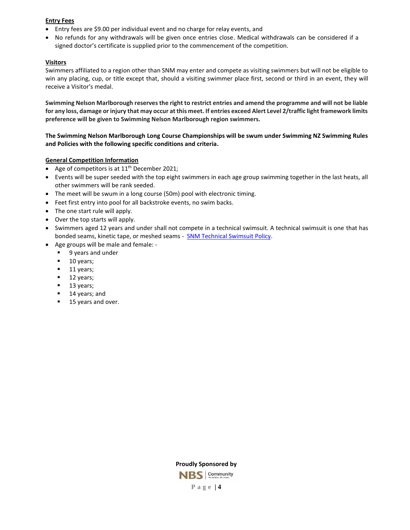#### **Entry Fees**

- Entry fees are \$9.00 per individual event and no charge for relay events, and
- No refunds for any withdrawals will be given once entries close. Medical withdrawals can be considered if a signed doctor's certificate is supplied prior to the commencement of the competition.

#### **Visitors**

Swimmers affiliated to a region other than SNM may enter and compete as visiting swimmers but will not be eligible to win any placing, cup, or title except that, should a visiting swimmer place first, second or third in an event, they will receive a Visitor's medal.

**Swimming Nelson Marlborough reserves the right to restrict entries and amend the programme and will not be liable for any loss, damage or injury that may occur at this meet. If entries exceed Alert Level 2/traffic light framework limits preference will be given to Swimming Nelson Marlborough region swimmers.**

#### **The Swimming Nelson Marlborough Long Course Championships will be swum under Swimming NZ Swimming Rules and Policies with the following specific conditions and criteria.**

#### **General Competition Information**

- Age of competitors is at  $11<sup>th</sup>$  December 2021;
- Events will be super seeded with the top eight swimmers in each age group swimming together in the last heats, all other swimmers will be rank seeded.
- The meet will be swum in a long course (50m) pool with electronic timing.
- Feet first entry into pool for all backstroke events, no swim backs.
- The one start rule will apply.
- Over the top starts will apply.
- Swimmers aged 12 years and under shall not compete in a technical swimsuit. A technical swimsuit is one that has bonded seams, kinetic tape, or meshed seams - [SNM Technical Swimsuit Policy.](https://www.snm.org.nz/files/SNM_Tech_Suit_Policy-Nov2018.pdf)
- Age groups will be male and female:
	- 9 years and under
	- 10 years;
	- 11 years;
	- 12 years;
	- 13 years;
	- 14 years; and
	- 15 years and over.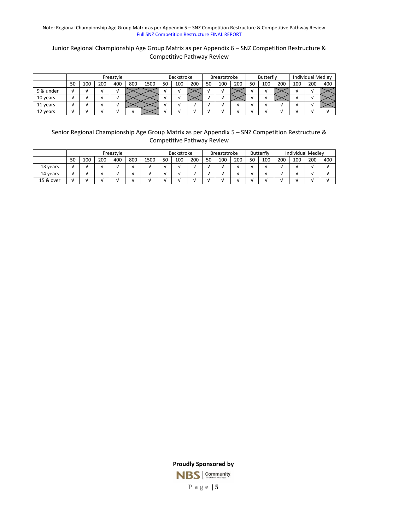Note: Regional Championship Age Group Matrix as per Appendix 5 – SNZ Competition Restructure & Competitive Pathway Review [Full SNZ Competition Restructure FINAL REPORT](https://www.swimming.org.nz/visageimages/Legal%20&%20Governance/Competition%20Restructure%20&%20Competitive%20Pathway%20Review/Competition%20Restructure%20&%20Competitive%20Pathway%20Review%20-%20Final%20Report%20-%20July2020.pdf)

#### Junior Regional Championship Age Group Matrix as per Appendix 6 – SNZ Competition Restructure & Competitive Pathway Review

|           | Freestyle |     |     |     | Backstroke |      | <b>Breaststroke</b> |     |     | <b>Butterfly</b> |     |     | <b>Individual Medley</b> |     |     |     |     |     |
|-----------|-----------|-----|-----|-----|------------|------|---------------------|-----|-----|------------------|-----|-----|--------------------------|-----|-----|-----|-----|-----|
|           | 50        | 100 | 200 | 400 | 800        | 1500 | 50                  | 100 | 200 | 50               | 100 | 200 | 50                       | 100 | 200 | 100 | 200 | 400 |
| 9 & under |           |     |     |     |            |      |                     | v   |     |                  |     |     |                          |     |     |     |     |     |
| 10 years  |           |     |     |     |            |      |                     |     |     |                  |     |     |                          |     |     |     |     |     |
| 11 years  |           |     |     |     |            |      |                     |     |     |                  |     |     |                          |     |     |     |     |     |
| 12 years  |           |     |     |     |            |      |                     |     |     |                  |     |     |                          |     |     |     |     |     |

#### Senior Regional Championship Age Group Matrix as per Appendix 5 – SNZ Competition Restructure & Competitive Pathway Review

|           | Freestyle |     |     |     | <b>Backstroke</b> |      | Breaststroke |     |     | Butterfly |     | <b>Individual Medlev</b> |    |     |     |     |     |     |
|-----------|-----------|-----|-----|-----|-------------------|------|--------------|-----|-----|-----------|-----|--------------------------|----|-----|-----|-----|-----|-----|
|           | 50        | 100 | 200 | 400 | 800               | 1500 | 50           | 100 | 200 | 50        | 100 | 200                      | 50 | 100 | 200 | 100 | 200 | 400 |
| 13 years  | M         |     |     |     |                   |      |              |     |     |           |     |                          |    |     |     |     |     |     |
| 14 years  | M         |     |     |     |                   |      |              |     |     |           |     |                          |    |     |     |     |     |     |
| 15 & over | M         |     |     |     |                   |      |              |     |     |           |     |                          |    |     |     |     |     |     |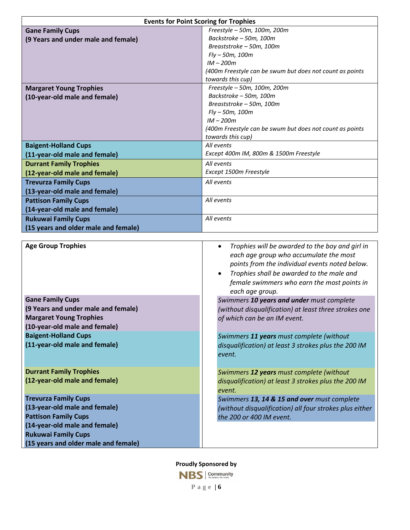| <b>Events for Point Scoring for Trophies</b> |                                                          |  |  |  |  |
|----------------------------------------------|----------------------------------------------------------|--|--|--|--|
| <b>Gane Family Cups</b>                      | Freestyle - 50m, 100m, 200m                              |  |  |  |  |
| (9 Years and under male and female)          | Backstroke – 50m, 100m                                   |  |  |  |  |
|                                              | Breaststroke - 50m, 100m                                 |  |  |  |  |
|                                              | $Fly - 50m, 100m$                                        |  |  |  |  |
|                                              | $IM - 200m$                                              |  |  |  |  |
|                                              | (400m Freestyle can be swum but does not count as points |  |  |  |  |
|                                              | towards this cup)                                        |  |  |  |  |
| <b>Margaret Young Trophies</b>               | Freestyle - 50m, 100m, 200m                              |  |  |  |  |
| (10-year-old male and female)                | Backstroke - 50m, 100m                                   |  |  |  |  |
|                                              | Breaststroke - 50m, 100m                                 |  |  |  |  |
|                                              | $Fly - 50m, 100m$                                        |  |  |  |  |
|                                              | $IM - 200m$                                              |  |  |  |  |
|                                              | (400m Freestyle can be swum but does not count as points |  |  |  |  |
|                                              | towards this cup)                                        |  |  |  |  |
| <b>Baigent-Holland Cups</b>                  | All events                                               |  |  |  |  |
| (11-year-old male and female)                | Except 400m IM, 800m & 1500m Freestyle                   |  |  |  |  |
| <b>Durrant Family Trophies</b>               | All events                                               |  |  |  |  |
| (12-year-old male and female)                | Except 1500m Freestyle                                   |  |  |  |  |
| <b>Trevurza Family Cups</b>                  | All events                                               |  |  |  |  |
| (13-year-old male and female)                |                                                          |  |  |  |  |
| <b>Pattison Family Cups</b>                  | All events                                               |  |  |  |  |
| (14-year-old male and female)                |                                                          |  |  |  |  |
| <b>Rukuwai Family Cups</b>                   | All events                                               |  |  |  |  |
| (15 years and older male and female)         |                                                          |  |  |  |  |

| <b>Age Group Trophies</b>                                                                                                                                                                          | Trophies will be awarded to the boy and girl in<br>$\bullet$<br>each age group who accumulate the most<br>points from the individual events noted below.<br>Trophies shall be awarded to the male and<br>$\bullet$<br>female swimmers who earn the most points in<br>each age group. |
|----------------------------------------------------------------------------------------------------------------------------------------------------------------------------------------------------|--------------------------------------------------------------------------------------------------------------------------------------------------------------------------------------------------------------------------------------------------------------------------------------|
| <b>Gane Family Cups</b><br>(9 Years and under male and female)<br><b>Margaret Young Trophies</b><br>(10-year-old male and female)                                                                  | Swimmers 10 years and under must complete<br>(without disqualification) at least three strokes one<br>of which can be an IM event.                                                                                                                                                   |
| <b>Baigent-Holland Cups</b><br>(11-year-old male and female)                                                                                                                                       | Swimmers 11 years must complete (without<br>disqualification) at least 3 strokes plus the 200 IM<br>event.                                                                                                                                                                           |
| <b>Durrant Family Trophies</b><br>(12-year-old male and female)                                                                                                                                    | Swimmers 12 years must complete (without<br>disqualification) at least 3 strokes plus the 200 IM<br>event.                                                                                                                                                                           |
| <b>Trevurza Family Cups</b><br>(13-year-old male and female)<br><b>Pattison Family Cups</b><br>(14-year-old male and female)<br><b>Rukuwai Family Cups</b><br>(15 years and older male and female) | Swimmers 13, 14 & 15 and over must complete<br>(without disqualification) all four strokes plus either<br>the 200 or 400 IM event.                                                                                                                                                   |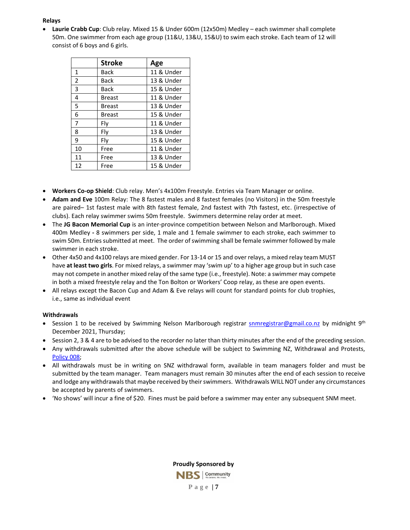#### **Relays**

• **Laurie Crabb Cup**: Club relay. Mixed 15 & Under 600m (12x50m) Medley – each swimmer shall complete 50m. One swimmer from each age group (11&U, 13&U, 15&U) to swim each stroke. Each team of 12 will consist of 6 boys and 6 girls.

|                | <b>Stroke</b> | Age        |
|----------------|---------------|------------|
| $\mathbf{1}$   | Back          | 11 & Under |
| 2              | Back          | 13 & Under |
| 3              | <b>Back</b>   | 15 & Under |
| 4              | <b>Breast</b> | 11 & Under |
| 5              | <b>Breast</b> | 13 & Under |
| 6              | <b>Breast</b> | 15 & Under |
| $\overline{7}$ | Fly           | 11 & Under |
| 8              | Fly           | 13 & Under |
| 9              | Fly           | 15 & Under |
| 10             | Free          | 11 & Under |
| 11             | Free          | 13 & Under |
| 12             | Free          | 15 & Under |

- **Workers Co-op Shield**: Club relay. Men's 4x100m Freestyle. Entries via Team Manager or online.
- **Adam and Eve** 100m Relay: The 8 fastest males and 8 fastest females (no Visitors) in the 50m freestyle are paired– 1st fastest male with 8th fastest female, 2nd fastest with 7th fastest, etc. (irrespective of clubs). Each relay swimmer swims 50m freestyle. Swimmers determine relay order at meet.
- The **JG Bacon Memorial Cup** is an inter-province competition between Nelson and Marlborough. Mixed 400m Medley **-** 8 swimmers per side, 1 male and 1 female swimmer to each stroke, each swimmer to swim 50m. Entries submitted at meet. The order of swimming shall be female swimmer followed by male swimmer in each stroke.
- Other 4x50 and 4x100 relays are mixed gender. For 13-14 or 15 and over relays, a mixed relay team MUST have **at least two girls**. For mixed relays, a swimmer may 'swim up' to a higher age group but in such case may not compete in another mixed relay of the same type (i.e., freestyle). Note: a swimmer may compete in both a mixed freestyle relay and the Ton Bolton or Workers' Coop relay, as these are open events.
- All relays except the Bacon Cup and Adam & Eve relays will count for standard points for club trophies, i.e., same as individual event

#### **Withdrawals**

- Session 1 to be received by Swimming Nelson Marlborough registrar **snmregistrar@gmail.co.nz** by midnight 9<sup>th</sup> December 2021, Thursday;
- Session 2, 3 & 4 are to be advised to the recorder no later than thirty minutes after the end of the preceding session.
- Any withdrawals submitted after the above schedule will be subject to Swimming NZ, Withdrawal and Protests, [Policy 008;](https://www.swimming.org.nz/visageimages/Legal%20&%20Governance/Policies/Competition%20and%20Event%20Policies/2019_SNZPolicy_WithdrawsProtests_008.pdf)
- All withdrawals must be in writing on SNZ withdrawal form, available in team managers folder and must be submitted by the team manager. Team managers must remain 30 minutes after the end of each session to receive and lodge any withdrawals that maybe received by their swimmers. Withdrawals WILL NOT under any circumstances be accepted by parents of swimmers.
- 'No shows' will incur a fine of \$20. Fines must be paid before a swimmer may enter any subsequent SNM meet.

**Proudly Sponsored by** NBS Community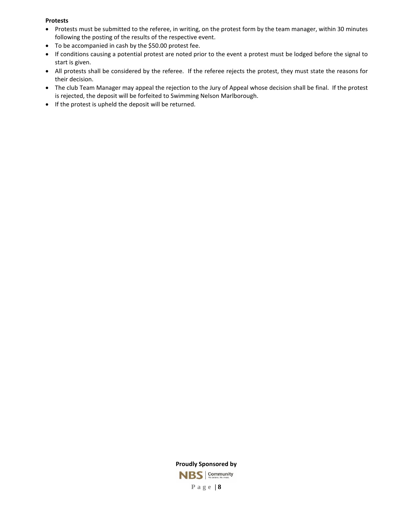#### **Protests**

- Protests must be submitted to the referee, in writing, on the protest form by the team manager, within 30 minutes following the posting of the results of the respective event.
- To be accompanied in cash by the \$50.00 protest fee.
- If conditions causing a potential protest are noted prior to the event a protest must be lodged before the signal to start is given.
- All protests shall be considered by the referee. If the referee rejects the protest, they must state the reasons for their decision.
- The club Team Manager may appeal the rejection to the Jury of Appeal whose decision shall be final. If the protest is rejected, the deposit will be forfeited to Swimming Nelson Marlborough.
- If the protest is upheld the deposit will be returned.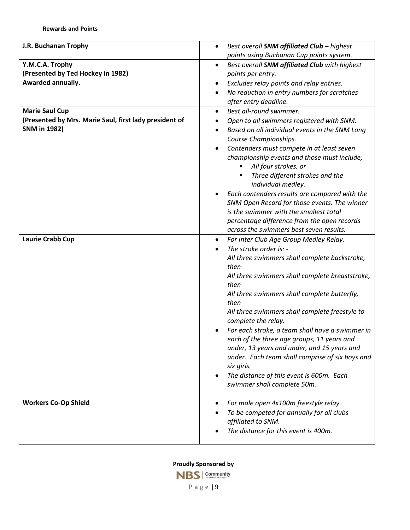| J.R. Buchanan Trophy                                   |                                                                                      |
|--------------------------------------------------------|--------------------------------------------------------------------------------------|
|                                                        | Best overall SNM affiliated Club - highest<br>$\bullet$                              |
|                                                        | points using Buchanan Cup points system.                                             |
| Y.M.C.A. Trophy<br>(Presented by Ted Hockey in 1982)   | Best overall SNM affiliated Club with highest<br>$\bullet$                           |
| Awarded annually.                                      | points per entry.                                                                    |
|                                                        | Excludes relay points and relay entries.<br>$\bullet$                                |
|                                                        | No reduction in entry numbers for scratches<br>$\bullet$                             |
|                                                        | after entry deadline.                                                                |
| <b>Marie Saul Cup</b>                                  | Best all-round swimmer.<br>$\bullet$                                                 |
| (Presented by Mrs. Marie Saul, first lady president of | Open to all swimmers registered with SNM.                                            |
| <b>SNM</b> in 1982)                                    | Based on all individual events in the SNM Long<br>$\bullet$<br>Course Championships. |
|                                                        | Contenders must compete in at least seven<br>$\bullet$                               |
|                                                        | championship events and those must include;<br>All four strokes, or                  |
|                                                        | Three different strokes and the<br>individual medley.                                |
|                                                        | Each contenders results are compared with the                                        |
|                                                        | SNM Open Record for those events. The winner                                         |
|                                                        | is the swimmer with the smallest total                                               |
|                                                        | percentage difference from the open records                                          |
|                                                        | across the swimmers best seven results.                                              |
| Laurie Crabb Cup                                       | For Inter Club Age Group Medley Relay.<br>$\bullet$                                  |
|                                                        | The stroke order is: -                                                               |
|                                                        | All three swimmers shall complete backstroke,                                        |
|                                                        | then                                                                                 |
|                                                        | All three swimmers shall complete breaststroke,<br>then                              |
|                                                        | All three swimmers shall complete butterfly,<br>then                                 |
|                                                        | All three swimmers shall complete freestyle to<br>complete the relay.                |
|                                                        | For each stroke, a team shall have a swimmer in                                      |
|                                                        | each of the three age groups, 11 years and                                           |
|                                                        | under, 13 years and under, and 15 years and                                          |
|                                                        | under. Each team shall comprise of six boys and                                      |
|                                                        | six girls.                                                                           |
|                                                        | The distance of this event is 600m. Each                                             |
|                                                        | swimmer shall complete 50m.                                                          |
| <b>Workers Co-Op Shield</b>                            | For male open 4x100m freestyle relay.<br>$\bullet$                                   |
|                                                        | To be competed for annually for all clubs                                            |
|                                                        | affiliated to SNM.                                                                   |
|                                                        | The distance for this event is 400m.                                                 |
|                                                        |                                                                                      |

**Proudly Sponsored by**

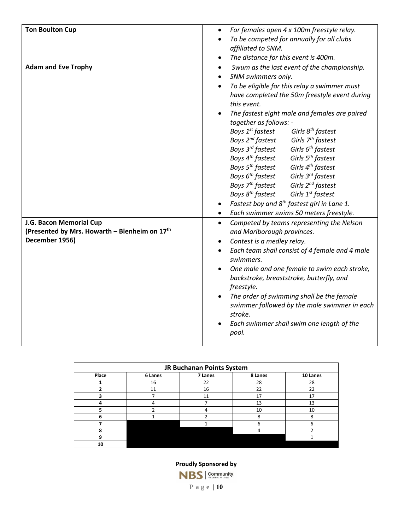| <b>Ton Boulton Cup</b>                                                   | For females open 4 x 100m freestyle relay.<br>$\bullet$                                  |
|--------------------------------------------------------------------------|------------------------------------------------------------------------------------------|
|                                                                          | To be competed for annually for all clubs<br>$\bullet$                                   |
|                                                                          | affiliated to SNM.                                                                       |
|                                                                          | The distance for this event is 400m.<br>$\bullet$                                        |
| <b>Adam and Eve Trophy</b>                                               | Swum as the last event of the championship.<br>$\bullet$                                 |
|                                                                          | SNM swimmers only.<br>$\bullet$                                                          |
|                                                                          | To be eligible for this relay a swimmer must<br>$\bullet$                                |
|                                                                          | have completed the 50m freestyle event during                                            |
|                                                                          | this event.                                                                              |
|                                                                          | The fastest eight male and females are paired<br>$\bullet$                               |
|                                                                          | together as follows: -                                                                   |
|                                                                          | Boys 1 <sup>st</sup> fastest<br>Girls 8 <sup>th</sup> fastest                            |
|                                                                          | Boys 2 <sup>nd</sup> fastest<br>Girls 7 <sup>th</sup> fastest                            |
|                                                                          | Boys 3 <sup>rd</sup> fastest<br>Girls 6 <sup>th</sup> fastest                            |
|                                                                          | Boys 4 <sup>th</sup> fastest<br>Girls 5 <sup>th</sup> fastest                            |
|                                                                          | Boys 5 <sup>th</sup> fastest<br>Girls 4 <sup>th</sup> fastest                            |
|                                                                          | Boys 6 <sup>th</sup> fastest<br>Girls 3 <sup>rd</sup> fastest                            |
|                                                                          | Boys 7 <sup>th</sup> fastest<br>Girls 2 <sup>nd</sup> fastest                            |
|                                                                          | Boys 8 <sup>th</sup> fastest<br>Girls 1 <sup>st</sup> fastest                            |
|                                                                          | Fastest boy and 8 <sup>th</sup> fastest girl in Lane 1.<br>$\bullet$                     |
|                                                                          | Each swimmer swims 50 meters freestyle.<br>$\bullet$                                     |
| J.G. Bacon Memorial Cup<br>(Presented by Mrs. Howarth - Blenheim on 17th | Competed by teams representing the Nelson<br>$\bullet$                                   |
| December 1956)                                                           | and Marlborough provinces.                                                               |
|                                                                          | Contest is a medley relay.<br>$\bullet$                                                  |
|                                                                          | Each team shall consist of 4 female and 4 male<br>$\bullet$<br>swimmers.                 |
|                                                                          | $\bullet$                                                                                |
|                                                                          | One male and one female to swim each stroke,<br>backstroke, breaststroke, butterfly, and |
|                                                                          | freestyle.                                                                               |
|                                                                          | The order of swimming shall be the female<br>$\bullet$                                   |
|                                                                          | swimmer followed by the male swimmer in each                                             |
|                                                                          | stroke.                                                                                  |
|                                                                          | Each swimmer shall swim one length of the                                                |
|                                                                          | pool.                                                                                    |
|                                                                          |                                                                                          |

| JR Buchanan Points System |         |         |         |          |  |  |  |  |  |  |  |
|---------------------------|---------|---------|---------|----------|--|--|--|--|--|--|--|
| Place                     | 6 Lanes | 7 Lanes | 8 Lanes | 10 Lanes |  |  |  |  |  |  |  |
|                           | 16      | 22      | 28      | 28       |  |  |  |  |  |  |  |
|                           | 11      | 16      | 22      | 22       |  |  |  |  |  |  |  |
| 3                         |         | 11      | 17      | 17       |  |  |  |  |  |  |  |
| 4                         | 4       |         | 13      | 13       |  |  |  |  |  |  |  |
| 5                         |         | 4       | 10      | 10       |  |  |  |  |  |  |  |
| 6                         |         |         | 8       | 8        |  |  |  |  |  |  |  |
|                           |         |         | 6       | 6        |  |  |  |  |  |  |  |
| 8                         |         |         | 4       |          |  |  |  |  |  |  |  |
| 9                         |         |         |         |          |  |  |  |  |  |  |  |
| 10                        |         |         |         |          |  |  |  |  |  |  |  |

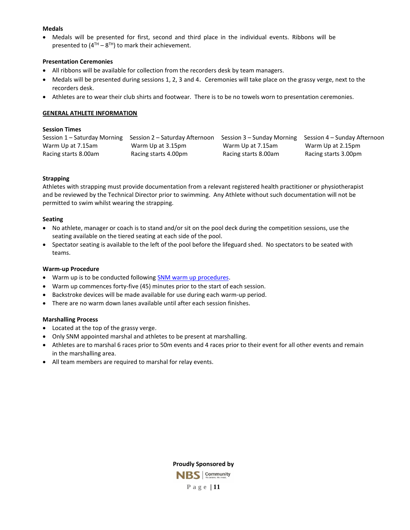#### **Medals**

• Medals will be presented for first, second and third place in the individual events. Ribbons will be presented to  $(4^{TH} - 8^{TH})$  to mark their achievement.

#### **Presentation Ceremonies**

- All ribbons will be available for collection from the recorders desk by team managers.
- Medals will be presented during sessions 1, 2, 3 and 4. Ceremonies will take place on the grassy verge, next to the recorders desk.
- Athletes are to wear their club shirts and footwear. There is to be no towels worn to presentation ceremonies.

#### **GENERAL ATHLETE INFORMATION**

#### **Session Times**

| Session 1 – Saturday Morning | Session 2 – Saturday Afternoon |                      | Session 3 – Sunday Morning Session 4 – Sunday Afternoon |
|------------------------------|--------------------------------|----------------------|---------------------------------------------------------|
| Warm Up at 7.15am            | Warm Up at 3.15pm              | Warm Up at 7.15am    | Warm Up at 2.15pm                                       |
| Racing starts 8.00am         | Racing starts 4.00pm           | Racing starts 8.00am | Racing starts 3.00pm                                    |

#### **Strapping**

Athletes with strapping must provide documentation from a relevant registered health practitioner or physiotherapist and be reviewed by the Technical Director prior to swimming. Any Athlete without such documentation will not be permitted to swim whilst wearing the strapping.

#### **Seating**

- No athlete, manager or coach is to stand and/or sit on the pool deck during the competition sessions, use the seating available on the tiered seating at each side of the pool.
- Spectator seating is available to the left of the pool before the lifeguard shed. No spectators to be seated with teams.

#### **Warm-up Procedure**

- Warm up is to be conducted following [SNM warm up procedures.](https://www.snm.org.nz/files/Warmup_Procedures_for_All_Pools_in_NM_-June_2017.pdf)
- Warm up commences forty-five (45) minutes prior to the start of each session.
- Backstroke devices will be made available for use during each warm-up period.
- There are no warm down lanes available until after each session finishes.

#### **Marshalling Process**

- Located at the top of the grassy verge.
- Only SNM appointed marshal and athletes to be present at marshalling.
- Athletes are to marshal 6 races prior to 50m events and 4 races prior to their event for all other events and remain in the marshalling area.
- All team members are required to marshal for relay events.

**Proudly Sponsored by** NBS Community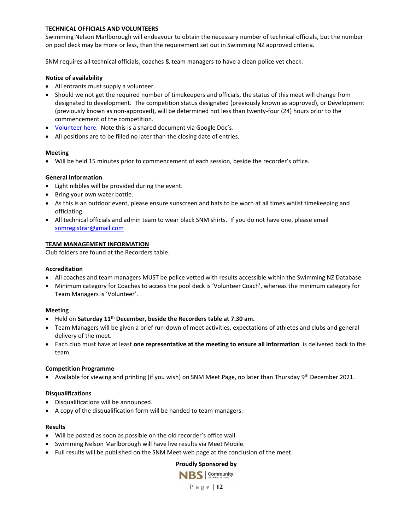#### **TECHNICAL OFFICIALS AND VOLUNTEERS**

Swimming Nelson Marlborough will endeavour to obtain the necessary number of technical officials, but the number on pool deck may be more or less, than the requirement set out in Swimming NZ approved criteria.

SNM requires all technical officials, coaches & team managers to have a clean police vet check.

#### **Notice of availability**

- All entrants must supply a volunteer.
- Should we not get the required number of timekeepers and officials, the status of this meet will change from designated to development. The competition status designated (previously known as approved), or Development (previously known as non-approved), will be determined not less than twenty-four (24) hours prior to the commencement of the competition.
- [Volunteer here.](https://docs.google.com/forms/d/e/1FAIpQLSeEimndigR3TidjAPN0YbFoOJ52CIfiNQFFa8yGKqqObNH8YA/viewform?usp=pp_url) Note this is a shared document via Google Doc's.
- All positions are to be filled no later than the closing date of entries.

#### **Meeting**

• Will be held 15 minutes prior to commencement of each session, beside the recorder's office.

#### **General Information**

- Light nibbles will be provided during the event.
- Bring your own water bottle.
- As this is an outdoor event, please ensure sunscreen and hats to be worn at all times whilst timekeeping and officiating.
- All technical officials and admin team to wear black SNM shirts. If you do not have one, please email [snmregistrar@gmail.com](mailto:snmregistrar@gmail.com)

#### **TEAM MANAGEMENT INFORMATION**

Club folders are found at the Recorders table.

#### **Accreditation**

- All coaches and team managers MUST be police vetted with results accessible within the Swimming NZ Database.
- Minimum category for Coaches to access the pool deck is 'Volunteer Coach', whereas the minimum category for Team Managers is 'Volunteer'.

#### **Meeting**

- Held on **Saturday 11th December, beside the Recorders table at 7.30 am.**
- Team Managers will be given a brief run-down of meet activities, expectations of athletes and clubs and general delivery of the meet.
- Each club must have at least **one representative at the meeting to ensure all information** is delivered back to the team.

#### **Competition Programme**

• Available for viewing and printing (if you wish) on SNM Meet Page, no later than Thursday 9<sup>th</sup> December 2021.

#### **Disqualifications**

- Disqualifications will be announced.
- A copy of the disqualification form will be handed to team managers.

#### **Results**

- Will be posted as soon as possible on the old recorder's office wall.
- Swimming Nelson Marlborough will have live results via Meet Mobile.
- Full results will be published on the SNM Meet web page at the conclusion of the meet.

#### **Proudly Sponsored by**

NBS Community